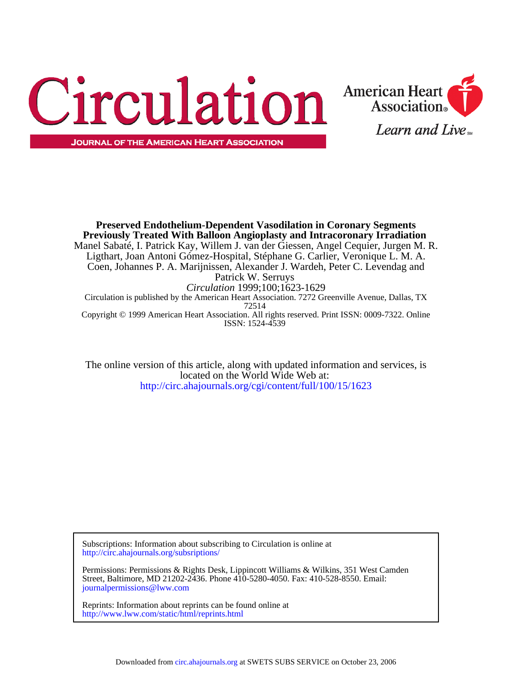



ISSN: 1524-4539 Copyright © 1999 American Heart Association. All rights reserved. Print ISSN: 0009-7322. Online 72514 Circulation is published by the American Heart Association. 7272 Greenville Avenue, Dallas, TX *Circulation* 1999;100;1623-1629 Patrick W. Serruys Coen, Johannes P. A. Marijnissen, Alexander J. Wardeh, Peter C. Levendag and Ligthart, Joan Antoni Gómez-Hospital, Stéphane G. Carlier, Veronique L. M. A. Manel Sabaté, I. Patrick Kay, Willem J. van der Giessen, Angel Cequier, Jurgen M. R. **Previously Treated With Balloon Angioplasty and Intracoronary Irradiation Preserved Endothelium-Dependent Vasodilation in Coronary Segments**

<http://circ.ahajournals.org/cgi/content/full/100/15/1623> located on the World Wide Web at: The online version of this article, along with updated information and services, is

[http://circ.ahajournals.org/subsriptions/](http://circ.ahajournals.org/subscriptions/) Subscriptions: Information about subscribing to Circulation is online at

[journalpermissions@lww.com](mailto:journalpermissions@lww.com) Street, Baltimore, MD 21202-2436. Phone 410-5280-4050. Fax: 410-528-8550. Email: Permissions: Permissions & Rights Desk, Lippincott Williams & Wilkins, 351 West Camden

<http://www.lww.com/static/html/reprints.html> Reprints: Information about reprints can be found online at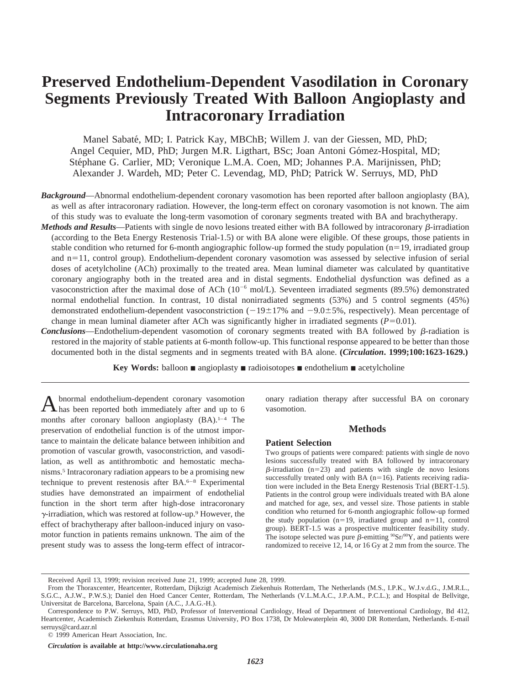# **Preserved Endothelium-Dependent Vasodilation in Coronary Segments Previously Treated With Balloon Angioplasty and Intracoronary Irradiation**

Manel Sabaté, MD; I. Patrick Kay, MBChB; Willem J. van der Giessen, MD, PhD; Angel Cequier, MD, PhD; Jurgen M.R. Ligthart, BSc; Joan Antoni Gómez-Hospital, MD; Stéphane G. Carlier, MD; Veronique L.M.A. Coen, MD; Johannes P.A. Marijnissen, PhD; Alexander J. Wardeh, MD; Peter C. Levendag, MD, PhD; Patrick W. Serruys, MD, PhD

- *Background*—Abnormal endothelium-dependent coronary vasomotion has been reported after balloon angioplasty (BA), as well as after intracoronary radiation. However, the long-term effect on coronary vasomotion is not known. The aim of this study was to evaluate the long-term vasomotion of coronary segments treated with BA and brachytherapy.
- *Methods and Results*—Patients with single de novo lesions treated either with BA followed by intracoronary  $\beta$ -irradiation (according to the Beta Energy Restenosis Trial-1.5) or with BA alone were eligible. Of these groups, those patients in stable condition who returned for 6-month angiographic follow-up formed the study population  $(n=19)$ , irradiated group and n=11, control group). Endothelium-dependent coronary vasomotion was assessed by selective infusion of serial doses of acetylcholine (ACh) proximally to the treated area. Mean luminal diameter was calculated by quantitative coronary angiography both in the treated area and in distal segments. Endothelial dysfunction was defined as a vasoconstriction after the maximal dose of ACh ( $10^{-6}$  mol/L). Seventeen irradiated segments (89.5%) demonstrated normal endothelial function. In contrast, 10 distal nonirradiated segments (53%) and 5 control segments (45%) demonstrated endothelium-dependent vasoconstriction  $(-19\pm17\%$  and  $-9.0\pm5\%$ , respectively). Mean percentage of change in mean luminal diameter after ACh was significantly higher in irradiated segments  $(P=0.01)$ .
- **Conclusions—Endothelium-dependent vasomotion of coronary segments treated with BA followed by**  $\beta$ **-radiation is** restored in the majority of stable patients at 6-month follow-up. This functional response appeared to be better than those documented both in the distal segments and in segments treated with BA alone. **(***Circulation***. 1999;100:1623-1629.)**

**Key Words:** balloon ■ angioplasty ■ radioisotopes ■ endothelium ■ acetylcholine

Abnormal endothelium-dependent coronary vasomotion has been reported both immediately after and up to 6 months after coronary balloon angioplasty (BA).<sup>1-4</sup> The preservation of endothelial function is of the utmost importance to maintain the delicate balance between inhibition and promotion of vascular growth, vasoconstriction, and vasodilation, as well as antithrombotic and hemostatic mechanisms.5 Intracoronary radiation appears to be a promising new technique to prevent restenosis after BA.6–8 Experimental studies have demonstrated an impairment of endothelial function in the short term after high-dose intracoronary  $\gamma$ -irradiation, which was restored at follow-up.<sup>9</sup> However, the effect of brachytherapy after balloon-induced injury on vasomotor function in patients remains unknown. The aim of the present study was to assess the long-term effect of intracoronary radiation therapy after successful BA on coronary vasomotion.

## **Methods**

## **Patient Selection**

Two groups of patients were compared: patients with single de novo lesions successfully treated with BA followed by intracoronary  $\beta$ -irradiation (n=23) and patients with single de novo lesions successfully treated only with BA ( $n=16$ ). Patients receiving radiation were included in the Beta Energy Restenosis Trial (BERT-1.5). Patients in the control group were individuals treated with BA alone and matched for age, sex, and vessel size. Those patients in stable condition who returned for 6-month angiographic follow-up formed the study population ( $n=19$ , irradiated group and  $n=11$ , control group). BERT-1.5 was a prospective multicenter feasibility study. The isotope selected was pure  $\beta$ -emitting  $\mathcal{S}^9$ Sr $\mathcal{S}^9$ Y, and patients were randomized to receive 12, 14, or 16 Gy at 2 mm from the source. The

Received April 13, 1999; revision received June 21, 1999; accepted June 28, 1999.

From the Thoraxcenter, Heartcenter, Rotterdam, Dijkzigt Academisch Ziekenhuis Rotterdam, The Netherlands (M.S., I.P.K., W.J.v.d.G., J.M.R.L., S.G.C., A.J.W., P.W.S.); Daniel den Hoed Cancer Center, Rotterdam, The Netherlands (V.L.M.A.C., J.P.A.M., P.C.L.); and Hospital de Bellvitge, Universitat de Barcelona, Barcelona, Spain (A.C., J.A.G.-H.).

Correspondence to P.W. Serruys, MD, PhD, Professor of Interventional Cardiology, Head of Department of Interventional Cardiology, Bd 412, Heartcenter, Academisch Ziekenhuis Rotterdam, Erasmus University, PO Box 1738, Dr Molewaterplein 40, 3000 DR Rotterdam, Netherlands. E-mail serruys@card.azr.nl

<sup>© 1999</sup> American Heart Association, Inc.

*Circulation* **is available at http://www.circulationaha.org**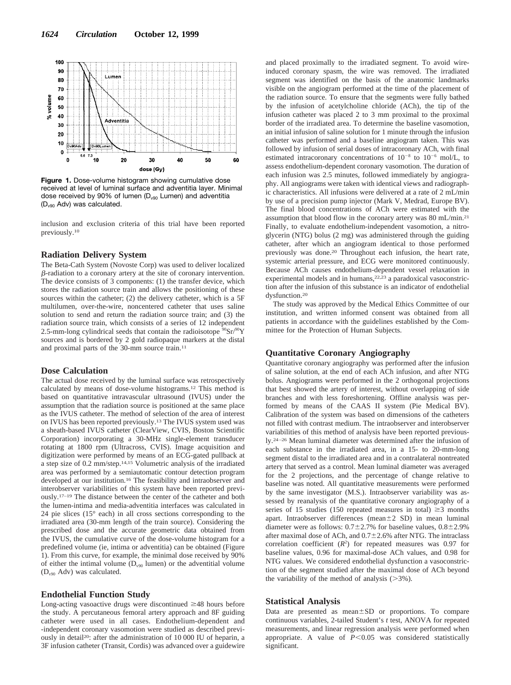

**Figure 1.** Dose-volume histogram showing cumulative dose received at level of luminal surface and adventitia layer. Minimal dose received by 90% of lumen (D<sub>v90</sub> Lumen) and adventitia (Dv90 Adv) was calculated.

inclusion and exclusion criteria of this trial have been reported previously.10

## **Radiation Delivery System**

The Beta-Cath System (Novoste Corp) was used to deliver localized  $\beta$ -radiation to a coronary artery at the site of coronary intervention. The device consists of 3 components: (1) the transfer device, which stores the radiation source train and allows the positioning of these sources within the catheter; (2) the delivery catheter, which is a 5F multilumen, over-the-wire, noncentered catheter that uses saline solution to send and return the radiation source train; and (3) the radiation source train, which consists of a series of 12 independent 2.5-mm-long cylindrical seeds that contain the radioisotope  ${}^{90}Sr/{}^{90}Y$ sources and is bordered by 2 gold radiopaque markers at the distal and proximal parts of the 30-mm source train.11

## **Dose Calculation**

The actual dose received by the luminal surface was retrospectively calculated by means of dose-volume histograms.12 This method is based on quantitative intravascular ultrasound (IVUS) under the assumption that the radiation source is positioned at the same place as the IVUS catheter. The method of selection of the area of interest on IVUS has been reported previously.13 The IVUS system used was a sheath-based IVUS catheter (ClearView, CVIS, Boston Scientific Corporation) incorporating a 30-MHz single-element transducer rotating at 1800 rpm (Ultracross, CVIS). Image acquisition and digitization were performed by means of an ECG-gated pullback at a step size of 0.2 mm/step.14,15 Volumetric analysis of the irradiated area was performed by a semiautomatic contour detection program developed at our institution.16 The feasibility and intraobserver and interobserver variabilities of this system have been reported previously.17–19 The distance between the center of the catheter and both the lumen-intima and media-adventitia interfaces was calculated in 24 pie slices (15° each) in all cross sections corresponding to the irradiated area (30-mm length of the train source). Considering the prescribed dose and the accurate geometric data obtained from the IVUS, the cumulative curve of the dose-volume histogram for a predefined volume (ie, intima or adventitia) can be obtained (Figure 1). From this curve, for example, the minimal dose received by 90% of either the intimal volume  $(D_{\nu90})$  lumen) or the adventitial volume  $(D_{v90}$  Adv) was calculated.

## **Endothelial Function Study**

Long-acting vasoactive drugs were discontinued  $\geq$ 48 hours before the study. A percutaneous femoral artery approach and 8F guiding catheter were used in all cases. Endothelium-dependent and -independent coronary vasomotion were studied as described previously in detail20: after the administration of 10 000 IU of heparin, a 3F infusion catheter (Transit, Cordis) was advanced over a guidewire

and placed proximally to the irradiated segment. To avoid wireinduced coronary spasm, the wire was removed. The irradiated segment was identified on the basis of the anatomic landmarks visible on the angiogram performed at the time of the placement of the radiation source. To ensure that the segments were fully bathed by the infusion of acetylcholine chloride (ACh), the tip of the infusion catheter was placed 2 to 3 mm proximal to the proximal border of the irradiated area. To determine the baseline vasomotion, an initial infusion of saline solution for 1 minute through the infusion catheter was performed and a baseline angiogram taken. This was followed by infusion of serial doses of intracoronary ACh, with final estimated intracoronary concentrations of  $10^{-8}$  to  $10^{-6}$  mol/L, to assess endothelium-dependent coronary vasomotion. The duration of each infusion was 2.5 minutes, followed immediately by angiography. All angiograms were taken with identical views and radiographic characteristics. All infusions were delivered at a rate of 2 mL/min by use of a precision pump injector (Mark V, Medrad, Europe BV). The final blood concentrations of ACh were estimated with the assumption that blood flow in the coronary artery was 80 mL/min.21 Finally, to evaluate endothelium-independent vasomotion, a nitroglycerin (NTG) bolus (2 mg) was administered through the guiding catheter, after which an angiogram identical to those performed previously was done.20 Throughout each infusion, the heart rate, systemic arterial pressure, and ECG were monitored continuously. Because ACh causes endothelium-dependent vessel relaxation in experimental models and in humans, $22,23$  a paradoxical vasoconstriction after the infusion of this substance is an indicator of endothelial dysfunction.20

The study was approved by the Medical Ethics Committee of our institution, and written informed consent was obtained from all patients in accordance with the guidelines established by the Committee for the Protection of Human Subjects.

## **Quantitative Coronary Angiography**

Quantitative coronary angiography was performed after the infusion of saline solution, at the end of each ACh infusion, and after NTG bolus. Angiograms were performed in the 2 orthogonal projections that best showed the artery of interest, without overlapping of side branches and with less foreshortening. Offline analysis was performed by means of the CAAS II system (Pie Medical BV). Calibration of the system was based on dimensions of the catheters not filled with contrast medium. The intraobserver and interobserver variabilities of this method of analysis have been reported previously.24–26 Mean luminal diameter was determined after the infusion of each substance in the irradiated area, in a 15- to 20-mm-long segment distal to the irradiated area and in a contralateral nontreated artery that served as a control. Mean luminal diameter was averaged for the 2 projections, and the percentage of change relative to baseline was noted. All quantitative measurements were performed by the same investigator (M.S.). Intraobserver variability was assessed by reanalysis of the quantitative coronary angiography of a series of 15 studies (150 repeated measures in total)  $\geq$ 3 months apart. Intraobserver differences (mean $\pm 2$  SD) in mean luminal diameter were as follows:  $0.7\pm2.7\%$  for baseline values,  $0.8\pm2.9\%$ after maximal dose of ACh, and  $0.7\pm2.6\%$  after NTG. The intraclass correlation coefficient  $(R^2)$  for repeated measures was 0.97 for baseline values, 0.96 for maximal-dose ACh values, and 0.98 for NTG values. We considered endothelial dysfunction a vasoconstriction of the segment studied after the maximal dose of ACh beyond the variability of the method of analysis  $(>\!\!3\%)$ .

#### **Statistical Analysis**

Data are presented as mean±SD or proportions. To compare continuous variables, 2-tailed Student's *t* test, ANOVA for repeated measurements, and linear regression analysis were performed when appropriate. A value of  $P \leq 0.05$  was considered statistically significant.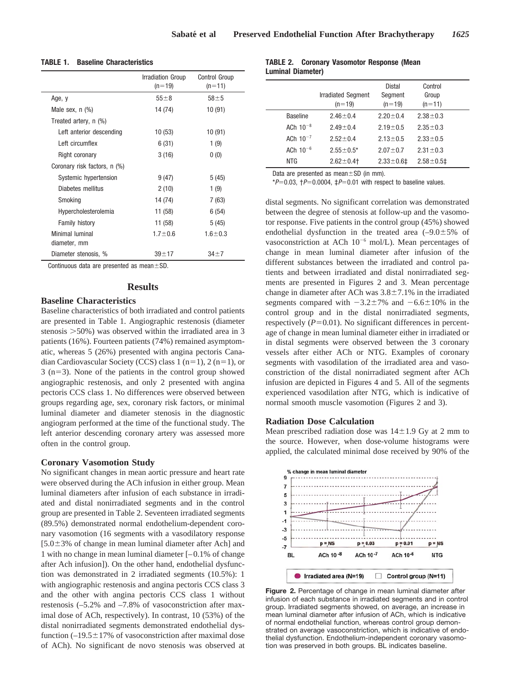|                                 | Irradiation Group<br>$(n=19)$ | Control Group<br>$(n=11)$ |
|---------------------------------|-------------------------------|---------------------------|
| Age, y                          | $55\pm8$                      | $58 + 5$                  |
| Male sex, $n$ $(\%)$            | 14 (74)                       | 10 (91)                   |
| Treated artery, n (%)           |                               |                           |
| Left anterior descending        | 10(53)                        | 10 (91)                   |
| Left circumflex                 | 6(31)                         | 1(9)                      |
| Right coronary                  | 3(16)                         | 0(0)                      |
| Coronary risk factors, n (%)    |                               |                           |
| Systemic hypertension           | 9(47)                         | 5(45)                     |
| Diabetes mellitus               | 2(10)                         | 1(9)                      |
| Smoking                         | 14 (74)                       | 7(63)                     |
| Hypercholesterolemia            | 11 (58)                       | 6(54)                     |
| Family history                  | 11 (58)                       | 5(45)                     |
| Minimal luminal<br>diameter, mm | $1.7 + 0.6$                   | $1.6 + 0.3$               |
| Diameter stenosis, %            | $39 + 17$                     | $34 + 7$                  |

**TABLE 1. Baseline Characteristics**

Continuous data are presented as mean $\pm$ SD.

# **Results**

# **Baseline Characteristics**

Baseline characteristics of both irradiated and control patients are presented in Table 1. Angiographic restenosis (diameter stenosis  $>50\%$ ) was observed within the irradiated area in 3 patients (16%). Fourteen patients (74%) remained asymptomatic, whereas 5 (26%) presented with angina pectoris Canadian Cardiovascular Society (CCS) class 1 (n=1), 2 (n=1), or  $3$  (n=3). None of the patients in the control group showed angiographic restenosis, and only 2 presented with angina pectoris CCS class 1. No differences were observed between groups regarding age, sex, coronary risk factors, or minimal luminal diameter and diameter stenosis in the diagnostic angiogram performed at the time of the functional study. The left anterior descending coronary artery was assessed more often in the control group.

# **Coronary Vasomotion Study**

No significant changes in mean aortic pressure and heart rate were observed during the ACh infusion in either group. Mean luminal diameters after infusion of each substance in irradiated and distal nonirradiated segments and in the control group are presented in Table 2. Seventeen irradiated segments (89.5%) demonstrated normal endothelium-dependent coronary vasomotion (16 segments with a vasodilatory response  $[5.0\pm3\%$  of change in mean luminal diameter after Ach] and 1 with no change in mean luminal diameter [–0.1% of change after Ach infusion]). On the other hand, endothelial dysfunction was demonstrated in 2 irradiated segments (10.5%): 1 with angiographic restenosis and angina pectoris CCS class 3 and the other with angina pectoris CCS class 1 without restenosis (–5.2% and –7.8% of vasoconstriction after maximal dose of ACh, respectively). In contrast, 10 (53%) of the distal nonirradiated segments demonstrated endothelial dysfunction  $(-19.5 \pm 17\%)$  of vasoconstriction after maximal dose of ACh). No significant de novo stenosis was observed at

# **TABLE 2. Coronary Vasomotor Response (Mean Luminal Diameter)**

|                 | <b>Irradiated Segment</b><br>$(n=19)$ | Distal<br>Segment<br>$(n=19)$ | Control<br>Group<br>$(n=11)$ |
|-----------------|---------------------------------------|-------------------------------|------------------------------|
| <b>Baseline</b> | $2.46 \pm 0.4$                        | $2.20 \pm 0.4$                | $2.38 \pm 0.3$               |
| ACh $10^{-8}$   | $2.49 \pm 0.4$                        | $2.19 \pm 0.5$                | $2.35 \pm 0.3$               |
| ACh $10^{-7}$   | $2.52 \pm 0.4$                        | $2.13 \pm 0.5$                | $2.33 \pm 0.5$               |
| ACh $10^{-6}$   | $2.55 \pm 0.5^*$                      | $2.07 \pm 0.7$                | $2.31 \pm 0.3$               |
| <b>NTG</b>      | $2.62 \pm 0.4$                        | $2.33 \pm 0.61$               | $2.58 \pm 0.51$              |

Data are presented as mean $\pm$ SD (in mm).

\*P=0.03,  $\uparrow$ P=0.0004,  $\downarrow$ P=0.01 with respect to baseline values.

distal segments. No significant correlation was demonstrated between the degree of stenosis at follow-up and the vasomotor response. Five patients in the control group (45%) showed endothelial dysfunction in the treated area  $(-9.0 \pm 5\%$  of vasoconstriction at ACh  $10^{-6}$  mol/L). Mean percentages of change in mean luminal diameter after infusion of the different substances between the irradiated and control patients and between irradiated and distal nonirradiated segments are presented in Figures 2 and 3. Mean percentage change in diameter after ACh was  $3.8 \pm 7.1$ % in the irradiated segments compared with  $-3.2\pm7\%$  and  $-6.6\pm10\%$  in the control group and in the distal nonirradiated segments, respectively  $(P=0.01)$ . No significant differences in percentage of change in mean luminal diameter either in irradiated or in distal segments were observed between the 3 coronary vessels after either ACh or NTG. Examples of coronary segments with vasodilation of the irradiated area and vasoconstriction of the distal nonirradiated segment after ACh infusion are depicted in Figures 4 and 5. All of the segments experienced vasodilation after NTG, which is indicative of normal smooth muscle vasomotion (Figures 2 and 3).

# **Radiation Dose Calculation**

Mean prescribed radiation dose was  $14\pm1.9$  Gy at 2 mm to the source. However, when dose-volume histograms were applied, the calculated minimal dose received by 90% of the



**Figure 2.** Percentage of change in mean luminal diameter after infusion of each substance in irradiated segments and in control group. Irradiated segments showed, on average, an increase in mean luminal diameter after infusion of ACh, which is indicative of normal endothelial function, whereas control group demonstrated on average vasoconstriction, which is indicative of endothelial dysfunction. Endothelium-independent coronary vasomotion was preserved in both groups. BL indicates baseline.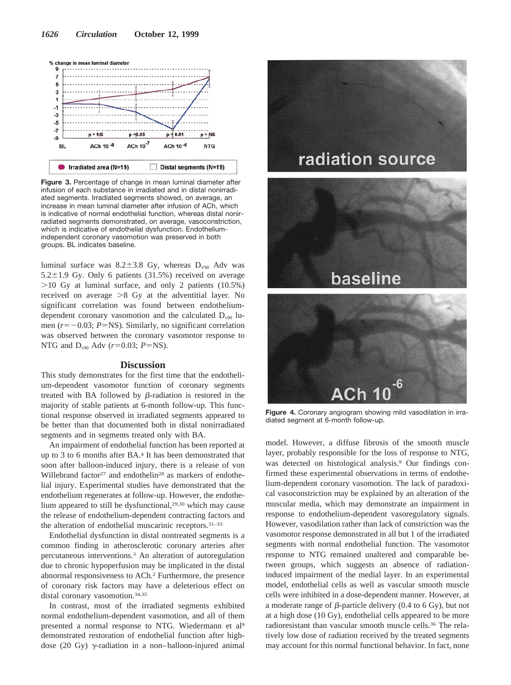

**Figure 3.** Percentage of change in mean luminal diameter after infusion of each substance in irradiated and in distal nonirradiated segments. Irradiated segments showed, on average, an increase in mean luminal diameter after infusion of ACh, which is indicative of normal endothelial function, whereas distal nonirradiated segments demonstrated, on average, vasoconstriction, which is indicative of endothelial dysfunction. Endotheliumindependent coronary vasomotion was preserved in both groups. BL indicates baseline.

luminal surface was  $8.2 \pm 3.8$  Gy, whereas D<sub>V90</sub> Adv was  $5.2\pm1.9$  Gy. Only 6 patients (31.5%) received on average  $>10$  Gy at luminal surface, and only 2 patients (10.5%) received on average  $>8$  Gy at the adventitial layer. No significant correlation was found between endotheliumdependent coronary vasomotion and the calculated  $D_{\nu90}$  lumen  $(r=-0.03; P=NS)$ . Similarly, no significant correlation was observed between the coronary vasomotor response to NTG and  $D_{v90}$  Adv ( $r=0.03$ ;  $P=NS$ ).

## **Discussion**

This study demonstrates for the first time that the endothelium-dependent vasomotor function of coronary segments treated with BA followed by  $\beta$ -radiation is restored in the majority of stable patients at 6-month follow-up. This functional response observed in irradiated segments appeared to be better than that documented both in distal nonirradiated segments and in segments treated only with BA.

An impairment of endothelial function has been reported at up to 3 to 6 months after BA.4 It has been demonstrated that soon after balloon-induced injury, there is a release of von Willebrand factor<sup>27</sup> and endothelin<sup>28</sup> as markers of endothelial injury. Experimental studies have demonstrated that the endothelium regenerates at follow-up. However, the endothelium appeared to still be dysfunctional,<sup>29,30</sup> which may cause the release of endothelium-dependent contracting factors and the alteration of endothelial muscarinic receptors.31–33

Endothelial dysfunction in distal nontreated segments is a common finding in atherosclerotic coronary arteries after percutaneous interventions.3 An alteration of autoregulation due to chronic hypoperfusion may be implicated in the distal abnormal responsiveness to ACh.2 Furthermore, the presence of coronary risk factors may have a deleterious effect on distal coronary vasomotion.34,35

In contrast, most of the irradiated segments exhibited normal endothelium-dependent vasomotion, and all of them presented a normal response to NTG. Wiedermann et al9 demonstrated restoration of endothelial function after highdose (20 Gy)  $\gamma$ -radiation in a non–balloon-injured animal



**Figure 4.** Coronary angiogram showing mild vasodilation in irradiated segment at 6-month follow-up.

model. However, a diffuse fibrosis of the smooth muscle layer, probably responsible for the loss of response to NTG, was detected on histological analysis.9 Our findings confirmed these experimental observations in terms of endothelium-dependent coronary vasomotion. The lack of paradoxical vasoconstriction may be explained by an alteration of the muscular media, which may demonstrate an impairment in response to endothelium-dependent vasoregulatory signals. However, vasodilation rather than lack of constriction was the vasomotor response demonstrated in all but 1 of the irradiated segments with normal endothelial function. The vasomotor response to NTG remained unaltered and comparable between groups, which suggests an absence of radiationinduced impairment of the medial layer. In an experimental model, endothelial cells as well as vascular smooth muscle cells were inhibited in a dose-dependent manner. However, at a moderate range of  $\beta$ -particle delivery (0.4 to 6 Gy), but not at a high dose (10 Gy), endothelial cells appeared to be more radioresistant than vascular smooth muscle cells.<sup>36</sup> The relatively low dose of radiation received by the treated segments may account for this normal functional behavior. In fact, none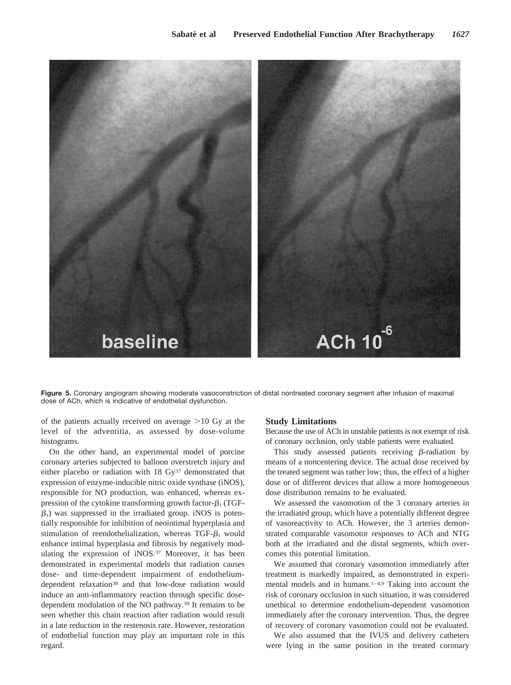

**Figure 5.** Coronary angiogram showing moderate vasoconstriction of distal nontreated coronary segment after infusion of maximal dose of ACh, which is indicative of endothelial dysfunction.

of the patients actually received on average  $>10$  Gy at the level of the adventitia, as assessed by dose-volume histograms.

On the other hand, an experimental model of porcine coronary arteries subjected to balloon overstretch injury and either placebo or radiation with 18 Gy<sup>37</sup> demonstrated that expression of enzyme-inducible nitric oxide synthase (iNOS), responsible for NO production, was enhanced, whereas expression of the cytokine transforming growth factor- $\beta_1$  (TGF- $\beta_1$ ) was suppressed in the irradiated group. iNOS is potentially responsible for inhibition of neointimal hyperplasia and stimulation of reendothelialization, whereas TGF- $\beta_1$  would enhance intimal hyperplasia and fibrosis by negatively modulating the expression of iNOS.<sup>37</sup> Moreover, it has been demonstrated in experimental models that radiation causes dose- and time-dependent impairment of endotheliumdependent relaxation<sup>38</sup> and that low-dose radiation would induce an anti-inflammatory reaction through specific dosedependent modulation of the NO pathway.39 It remains to be seen whether this chain reaction after radiation would result in a late reduction in the restenosis rate. However, restoration of endothelial function may play an important role in this regard.

## **Study Limitations**

Because the use of ACh in unstable patients is not exempt of risk of coronary occlusion, only stable patients were evaluated.

This study assessed patients receiving  $\beta$ -radiation by means of a noncentering device. The actual dose received by the treated segment was rather low; thus, the effect of a higher dose or of different devices that allow a more homogeneous dose distribution remains to be evaluated.

We assessed the vasomotion of the 3 coronary arteries in the irradiated group, which have a potentially different degree of vasoreactivity to ACh. However, the 3 arteries demonstrated comparable vasomotor responses to ACh and NTG both at the irradiated and the distal segments, which overcomes this potential limitation.

We assumed that coronary vasomotion immediately after treatment is markedly impaired, as demonstrated in experimental models and in humans.<sup>1-4,9</sup> Taking into account the risk of coronary occlusion in such situation, it was considered unethical to determine endothelium-dependent vasomotion immediately after the coronary intervention. Thus, the degree of recovery of coronary vasomotion could not be evaluated.

We also assumed that the IVUS and delivery catheters were lying in the same position in the treated coronary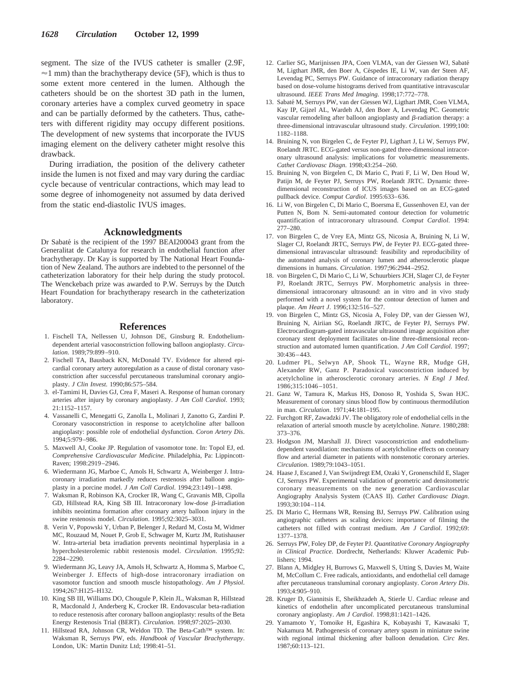segment. The size of the IVUS catheter is smaller (2.9F,  $\approx$ 1 mm) than the brachytherapy device (5F), which is thus to some extent more centered in the lumen. Although the catheters should be on the shortest 3D path in the lumen, coronary arteries have a complex curved geometry in space and can be partially deformed by the catheters. Thus, catheters with different rigidity may occupy different positions. The development of new systems that incorporate the IVUS imaging element on the delivery catheter might resolve this drawback.

During irradiation, the position of the delivery catheter inside the lumen is not fixed and may vary during the cardiac cycle because of ventricular contractions, which may lead to some degree of inhomogeneity not assumed by data derived from the static end-diastolic IVUS images.

## **Acknowledgments**

Dr Sabaté is the recipient of the 1997 BEAI200043 grant from the Generalitat de Catalunya for research in endothelial function after brachytherapy. Dr Kay is supported by The National Heart Foundation of New Zealand. The authors are indebted to the personnel of the catheterization laboratory for their help during the study protocol. The Wenckebach prize was awarded to P.W. Serruys by the Dutch Heart Foundation for brachytherapy research in the catheterization laboratory.

## **References**

- 1. Fischell TA, Nellessen U, Johnson DE, Ginsburg R. Endotheliumdependent arterial vasoconstriction following balloon angioplasty. *Circulation*. 1989;79:899–910.
- 2. Fischell TA, Bausback KN, McDonald TV. Evidence for altered epicardial coronary artery autoregulation as a cause of distal coronary vasoconstriction after successful percutaneous transluminal coronary angioplasty. *J Clin Invest*. 1990;86:575–584.
- 3. el-Tamimi H, Davies GJ, Crea F, Maseri A. Response of human coronary arteries after injury by coronary angioplasty. *J Am Coll Cardiol*. 1993; 21:1152–1157.
- 4. Vassanelli C, Menegatti G, Zanolla L, Molinari J, Zanotto G, Zardini P. Coronary vasoconstriction in response to acetylcholine after balloon angioplasty: possible role of endothelial dysfunction. *Coron Artery Dis*. 1994;5:979–986.
- 5. Maxwell AJ, Cooke JP. Regulation of vasomotor tone. In: Topol EJ, ed. *Comprehensive Cardiovascular Medicine*. Philadelphia, Pa: Lippincott-Raven; 1998:2919–2946.
- 6. Wiedermann JG, Marboe C, Amols H, Schwartz A, Weinberger J. Intracoronary irradiation markedly reduces restenosis after balloon angioplasty in a porcine model. *J Am Coll Cardiol*. 1994;23:1491–1498.
- 7. Waksman R, Robinson KA, Crocker IR, Wang C, Gravanis MB, Cipolla GD, Hillstead RA, King SB III. Intracoronary low-dose  $\beta$ -irradiation inhibits neointima formation after coronary artery balloon injury in the swine restenosis model. *Circulation*. 1995;92:3025–3031.
- 8. Verin V, Popowski Y, Urban P, Belenger J, Redard M, Costa M, Widmer MC, Rouzaud M, Nouet P, Grob E, Schwager M, Kurtz JM, Rutishauser W. Intra-arterial beta irradiation prevents neointimal hyperplasia in a hypercholesterolemic rabbit restenosis model. *Circulation*. 1995;92: 2284–2290.
- 9. Wiedermann JG, Leavy JA, Amols H, Schwartz A, Homma S, Marboe C, Weinberger J. Effects of high-dose intracoronary irradiation on vasomotor function and smooth muscle histopathology. *Am J Physiol*. 1994;267:H125–H132.
- 10. King SB III, Williams DO, Chougule P, Klein JL, Waksman R, Hillstead R, Macdonald J, Anderberg K, Crocker IR. Endovascular beta-radiation to reduce restenosis after coronary balloon angioplasty: results of the Beta Energy Restenosis Trial (BERT). *Circulation*. 1998;97:2025–2030.
- 11. Hillstead RA, Johnson CR, Weldon TD. The Beta-Cath™ system. In: Waksman R, Serruys PW, eds. *Handbook of Vascular Brachytherapy*. London, UK: Martin Dunitz Ltd; 1998:41–51.
- 12. Carlier SG, Marijnissen JPA, Coen VLMA, van der Giessen WJ, Sabate´ M, Ligthart JMR, den Boer A, Céspedes IE, Li W, van der Steen AF, Levendag PC, Serruys PW. Guidance of intracoronary radiation therapy based on dose-volume histograms derived from quantitative intravascular ultrasound. *IEEE Trans Med Imaging*. 1998;17:772–778.
- 13. Sabaté M, Serruys PW, van der Giessen WJ, Ligthart JMR, Coen VLMA, Kay IP, Gijzel AL, Wardeh AJ, den Boer A, Levendag PC. Geometric vascular remodeling after balloon angioplasty and  $\beta$ -radiation therapy: a three-dimensional intravascular ultrasound study. *Circulation*. 1999;100: 1182–1188.
- 14. Bruining N, von Birgelen C, de Feyter PJ, Ligthart J, Li W, Serruys PW, Roelandt JRTC. ECG-gated versus non-gated three-dimensional intracoronary ultrasound analysis: implications for volumetric measurements. *Cathet Cardiovasc Diagn*. 1998;43:254–260.
- 15. Bruining N, von Birgelen C, Di Mario C, Prati F, Li W, Den Houd W, Patijn M, de Feyter PJ, Serruys PW, Roelandt JRTC. Dynamic threedimensional reconstruction of ICUS images based on an ECG-gated pullback device. *Comput Cardiol*. 1995:633–636.
- 16. Li W, von Birgelen C, Di Mario C, Boersma E, Gussenhoven EJ, van der Putten N, Bom N. Semi-automated contour detection for volumetric quantification of intracoronary ultrasound. *Comput Cardiol*. 1994: 277–280.
- 17. von Birgelen C, de Vrey EA, Mintz GS, Nicosia A, Bruining N, Li W, Slager CJ, Roelandt JRTC, Serruys PW, de Feyter PJ. ECG-gated threedimensional intravascular ultrasound: feasibility and reproducibility of the automated analysis of coronary lumen and atherosclerotic plaque dimensions in humans. *Circulation*. 1997;96:2944–2952.
- 18. von Birgelen C, Di Mario C, Li W, Schuurbiers JCH, Slager CJ, de Feyter PJ, Roelandt JRTC, Serruys PW. Morphometric analysis in threedimensional intracoronary ultrasound: an in vitro and in vivo study performed with a novel system for the contour detection of lumen and plaque. *Am Heart J*. 1996;132:516–527.
- 19. von Birgelen C, Mintz GS, Nicosia A, Foley DP, van der Giessen WJ, Bruining N, Airiian SG, Roelandt JRTC, de Feyter PJ, Serruys PW. Electrocardiogram-gated intravascular ultrasound image acquisition after coronary stent deployment facilitates on-line three-dimensional reconstruction and automated lumen quantification. *J Am Coll Cardiol*. 1997; 30:436–443.
- 20. Ludmer PL, Selwyn AP, Shook TL, Wayne RR, Mudge GH, Alexander RW, Ganz P. Paradoxical vasoconstriction induced by acetylcholine in atherosclerotic coronary arteries. *N Engl J Med*. 1986;315:1046–1051.
- 21. Ganz W, Tamura K, Markus HS, Donoso R, Yoshida S, Swan HJC. Measurement of coronary sinus blood flow by continuous thermodilution in man. *Circulation*. 1971;44:181–195.
- 22. Furchgott RF, Zawadzki JV. The obligatory role of endothelial cells in the relaxation of arterial smooth muscle by acetylcholine. *Nature*. 1980;288: 373–376.
- 23. Hodgson JM, Marshall JJ. Direct vasoconstriction and endotheliumdependent vasodilation: mechanisms of acetylcholine effects on coronary flow and arterial diameter in patients with nonstenotic coronary arteries. *Circulation*. 1989;79:1043–1051.
- 24. Haase J, Escaned J, Van Swijndregt EM, Ozaki Y, Gronenschild E, Slager CJ, Serruys PW. Experimental validation of geometric and densitometric coronary measurements on the new generation Cardiovascular Angiography Analysis System (CAAS II). *Cathet Cardiovasc Diagn*. 1993;30:104–114.
- 25. Di Mario C, Hermans WR, Rensing BJ, Serruys PW. Calibration using angiographic catheters as scaling devices: importance of filming the catheters not filled with contrast medium. *Am J Cardiol*. 1992;69: 1377–1378.
- 26. Serruys PW, Foley DP, de Feyter PJ. *Quantitative Coronary Angiography in Clinical Practice*. Dordrecht, Netherlands: Kluwer Academic Publishers; 1994.
- 27. Blann A, Midgley H, Burrows G, Maxwell S, Utting S, Davies M, Waite M, McCollum C. Free radicals, antioxidants, and endothelial cell damage after percutaneous transluminal coronary angioplasty. *Coron Artery Dis*. 1993;4:905–910.
- 28. Kruger D, Giannitsis E, Sheikhzadeh A, Stierle U. Cardiac release and kinetics of endothelin after uncomplicated percutaneous transluminal coronary angioplasty. *Am J Cardiol*. 1998;81:1421–1426.
- 29. Yamamoto Y, Tomoike H, Egashira K, Kobayashi T, Kawasaki T, Nakamura M. Pathogenesis of coronary artery spasm in miniature swine with regional intimal thickening after balloon denudation. *Circ Res*. 1987;60:113–121.